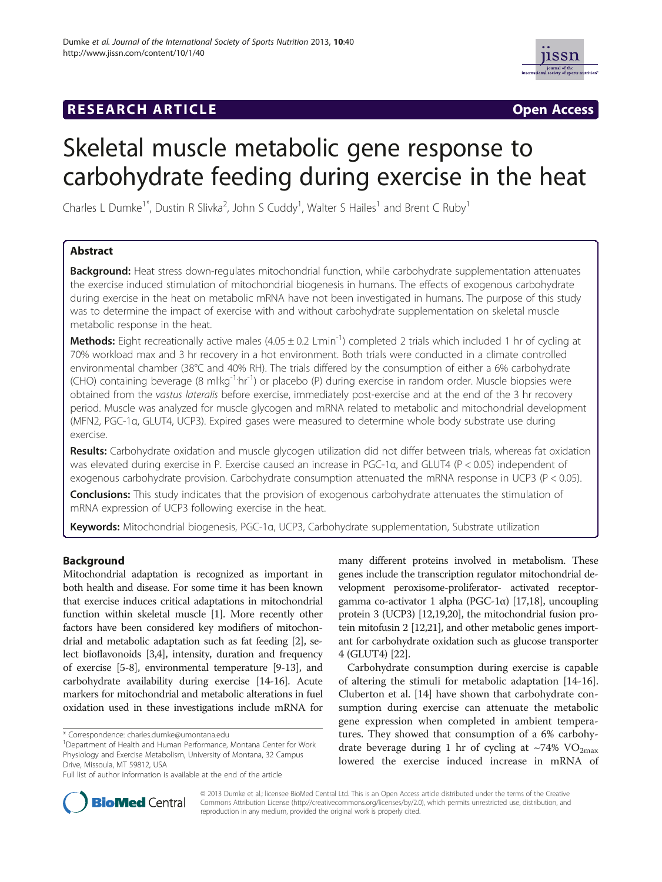# **RESEARCH ARTICLE Example 2014 12:30 THE Open Access**



# Skeletal muscle metabolic gene response to carbohydrate feeding during exercise in the heat

Charles L Dumke<sup>1\*</sup>, Dustin R Slivka<sup>2</sup>, John S Cuddy<sup>1</sup>, Walter S Hailes<sup>1</sup> and Brent C Ruby<sup>1</sup>

# Abstract

Background: Heat stress down-regulates mitochondrial function, while carbohydrate supplementation attenuates the exercise induced stimulation of mitochondrial biogenesis in humans. The effects of exogenous carbohydrate during exercise in the heat on metabolic mRNA have not been investigated in humans. The purpose of this study was to determine the impact of exercise with and without carbohydrate supplementation on skeletal muscle metabolic response in the heat.

Methods: Eight recreationally active males (4.05 ± 0.2 Lmin<sup>-1</sup>) completed 2 trials which included 1 hr of cycling at 70% workload max and 3 hr recovery in a hot environment. Both trials were conducted in a climate controlled environmental chamber (38°C and 40% RH). The trials differed by the consumption of either a 6% carbohydrate (CHO) containing beverage (8 ml·kg<sup>-1.</sup>hr<sup>-1</sup>) or placebo (P) during exercise in random order. Muscle biopsies were obtained from the vastus lateralis before exercise, immediately post-exercise and at the end of the 3 hr recovery period. Muscle was analyzed for muscle glycogen and mRNA related to metabolic and mitochondrial development (MFN2, PGC-1α, GLUT4, UCP3). Expired gases were measured to determine whole body substrate use during exercise.

Results: Carbohydrate oxidation and muscle glycogen utilization did not differ between trials, whereas fat oxidation was elevated during exercise in P. Exercise caused an increase in PGC-1α, and GLUT4 (P < 0.05) independent of exogenous carbohydrate provision. Carbohydrate consumption attenuated the mRNA response in UCP3 (P < 0.05).

Conclusions: This study indicates that the provision of exogenous carbohydrate attenuates the stimulation of mRNA expression of UCP3 following exercise in the heat.

Keywords: Mitochondrial biogenesis, PGC-1α, UCP3, Carbohydrate supplementation, Substrate utilization

# Background

Mitochondrial adaptation is recognized as important in both health and disease. For some time it has been known that exercise induces critical adaptations in mitochondrial function within skeletal muscle [[1\]](#page-6-0). More recently other factors have been considered key modifiers of mitochondrial and metabolic adaptation such as fat feeding [[2](#page-6-0)], select bioflavonoids [\[3,4\]](#page-6-0), intensity, duration and frequency of exercise [\[5-8\]](#page-6-0), environmental temperature [\[9](#page-6-0)-[13](#page-6-0)], and carbohydrate availability during exercise [[14](#page-6-0)-[16\]](#page-7-0). Acute markers for mitochondrial and metabolic alterations in fuel oxidation used in these investigations include mRNA for

many different proteins involved in metabolism. These genes include the transcription regulator mitochondrial development peroxisome-proliferator- activated receptorgamma co-activator 1 alpha (PGC-1α) [[17,18\]](#page-7-0), uncoupling protein 3 (UCP3) [[12](#page-6-0)[,19,20](#page-7-0)], the mitochondrial fusion protein mitofusin 2 [\[12](#page-6-0)[,21\]](#page-7-0), and other metabolic genes important for carbohydrate oxidation such as glucose transporter 4 (GLUT4) [[22](#page-7-0)].

Carbohydrate consumption during exercise is capable of altering the stimuli for metabolic adaptation [\[14](#page-6-0)[-16](#page-7-0)]. Cluberton et al. [[14\]](#page-6-0) have shown that carbohydrate consumption during exercise can attenuate the metabolic gene expression when completed in ambient temperatures. They showed that consumption of a 6% carbohydrate beverage during 1 hr of cycling at  $\sim$ 74% VO<sub>2max</sub> lowered the exercise induced increase in mRNA of



© 2013 Dumke et al.; licensee BioMed Central Ltd. This is an Open Access article distributed under the terms of the Creative Commons Attribution License [\(http://creativecommons.org/licenses/by/2.0\)](http://creativecommons.org/licenses/by/2.0), which permits unrestricted use, distribution, and reproduction in any medium, provided the original work is properly cited.

<sup>\*</sup> Correspondence: [charles.dumke@umontana.edu](mailto:charles.dumke@umontana.edu) <sup>1</sup>

Department of Health and Human Performance, Montana Center for Work Physiology and Exercise Metabolism, University of Montana, 32 Campus Drive, Missoula, MT 59812, USA

Full list of author information is available at the end of the article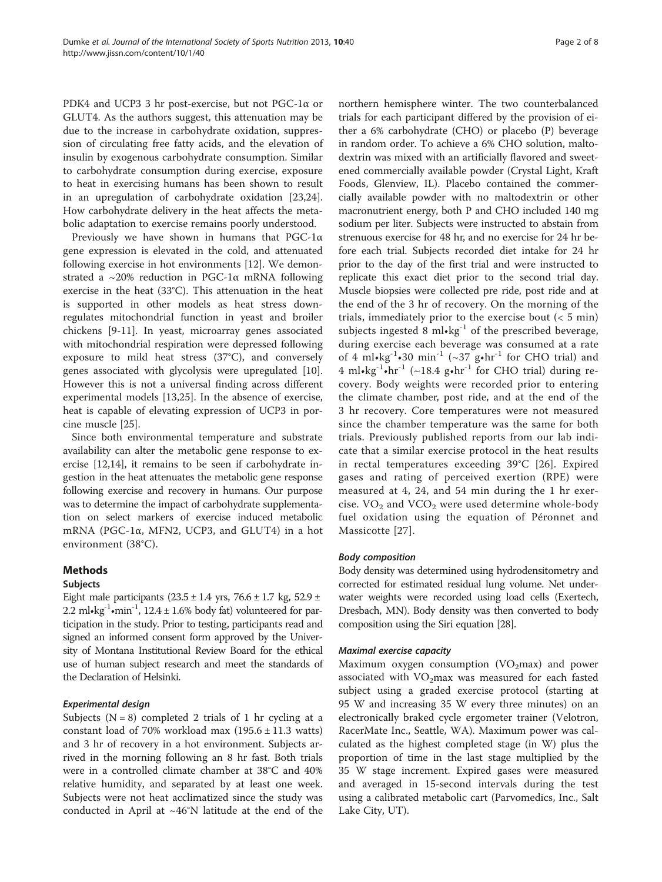PDK4 and UCP3 3 hr post-exercise, but not PGC-1α or GLUT4. As the authors suggest, this attenuation may be due to the increase in carbohydrate oxidation, suppression of circulating free fatty acids, and the elevation of insulin by exogenous carbohydrate consumption. Similar to carbohydrate consumption during exercise, exposure to heat in exercising humans has been shown to result in an upregulation of carbohydrate oxidation [\[23,24](#page-7-0)]. How carbohydrate delivery in the heat affects the metabolic adaptation to exercise remains poorly understood.

Previously we have shown in humans that  $PGC-1\alpha$ gene expression is elevated in the cold, and attenuated following exercise in hot environments [\[12\]](#page-6-0). We demonstrated a ~20% reduction in PGC-1α mRNA following exercise in the heat (33°C). This attenuation in the heat is supported in other models as heat stress downregulates mitochondrial function in yeast and broiler chickens [\[9](#page-6-0)-[11\]](#page-6-0). In yeast, microarray genes associated with mitochondrial respiration were depressed following exposure to mild heat stress (37°C), and conversely genes associated with glycolysis were upregulated [\[10](#page-6-0)]. However this is not a universal finding across different experimental models [\[13](#page-6-0)[,25](#page-7-0)]. In the absence of exercise, heat is capable of elevating expression of UCP3 in porcine muscle [\[25\]](#page-7-0).

Since both environmental temperature and substrate availability can alter the metabolic gene response to exercise [\[12,14\]](#page-6-0), it remains to be seen if carbohydrate ingestion in the heat attenuates the metabolic gene response following exercise and recovery in humans. Our purpose was to determine the impact of carbohydrate supplementation on select markers of exercise induced metabolic mRNA (PGC-1α, MFN2, UCP3, and GLUT4) in a hot environment (38°C).

# Methods

# Subjects

Eight male participants  $(23.5 \pm 1.4 \text{ yrs}, 76.6 \pm 1.7 \text{ kg}, 52.9 \pm 1.7 \text{ m}$ 2.2 ml $\cdot$ kg<sup>-1</sup> $\cdot$ min<sup>-1</sup>, 12.4 ± 1.6% body fat) volunteered for participation in the study. Prior to testing, participants read and signed an informed consent form approved by the University of Montana Institutional Review Board for the ethical use of human subject research and meet the standards of the Declaration of Helsinki.

# Experimental design

Subjects ( $N = 8$ ) completed 2 trials of 1 hr cycling at a constant load of 70% workload max  $(195.6 \pm 11.3 \text{ watts})$ and 3 hr of recovery in a hot environment. Subjects arrived in the morning following an 8 hr fast. Both trials were in a controlled climate chamber at 38°C and 40% relative humidity, and separated by at least one week. Subjects were not heat acclimatized since the study was conducted in April at ~46°N latitude at the end of the

northern hemisphere winter. The two counterbalanced trials for each participant differed by the provision of either a 6% carbohydrate (CHO) or placebo (P) beverage in random order. To achieve a 6% CHO solution, maltodextrin was mixed with an artificially flavored and sweetened commercially available powder (Crystal Light, Kraft Foods, Glenview, IL). Placebo contained the commercially available powder with no maltodextrin or other macronutrient energy, both P and CHO included 140 mg sodium per liter. Subjects were instructed to abstain from strenuous exercise for 48 hr, and no exercise for 24 hr before each trial. Subjects recorded diet intake for 24 hr prior to the day of the first trial and were instructed to replicate this exact diet prior to the second trial day. Muscle biopsies were collected pre ride, post ride and at the end of the 3 hr of recovery. On the morning of the trials, immediately prior to the exercise bout  $(< 5$  min) subjects ingested 8  $ml$ •kg<sup>-1</sup> of the prescribed beverage, during exercise each beverage was consumed at a rate of 4 ml $\cdot$ kg<sup>-1</sup> $\cdot$ 30 min<sup>-1</sup> (~37 g $\cdot$ hr<sup>-1</sup> for CHO trial) and 4 ml $\cdot$ kg<sup>-1</sup> $\cdot$ hr<sup>-1</sup> (~18.4 g $\cdot$ hr<sup>-1</sup> for CHO trial) during recovery. Body weights were recorded prior to entering the climate chamber, post ride, and at the end of the 3 hr recovery. Core temperatures were not measured since the chamber temperature was the same for both trials. Previously published reports from our lab indicate that a similar exercise protocol in the heat results in rectal temperatures exceeding 39°C [[26](#page-7-0)]. Expired gases and rating of perceived exertion (RPE) were measured at 4, 24, and 54 min during the 1 hr exercise.  $VO<sub>2</sub>$  and  $VCO<sub>2</sub>$  were used determine whole-body fuel oxidation using the equation of Péronnet and Massicotte [[27\]](#page-7-0).

# Body composition

Body density was determined using hydrodensitometry and corrected for estimated residual lung volume. Net underwater weights were recorded using load cells (Exertech, Dresbach, MN). Body density was then converted to body composition using the Siri equation [\[28](#page-7-0)].

# Maximal exercise capacity

Maximum oxygen consumption ( $VO<sub>2</sub>$ max) and power associated with  $VO<sub>2</sub>$ max was measured for each fasted subject using a graded exercise protocol (starting at 95 W and increasing 35 W every three minutes) on an electronically braked cycle ergometer trainer (Velotron, RacerMate Inc., Seattle, WA). Maximum power was calculated as the highest completed stage (in W) plus the proportion of time in the last stage multiplied by the 35 W stage increment. Expired gases were measured and averaged in 15-second intervals during the test using a calibrated metabolic cart (Parvomedics, Inc., Salt Lake City, UT).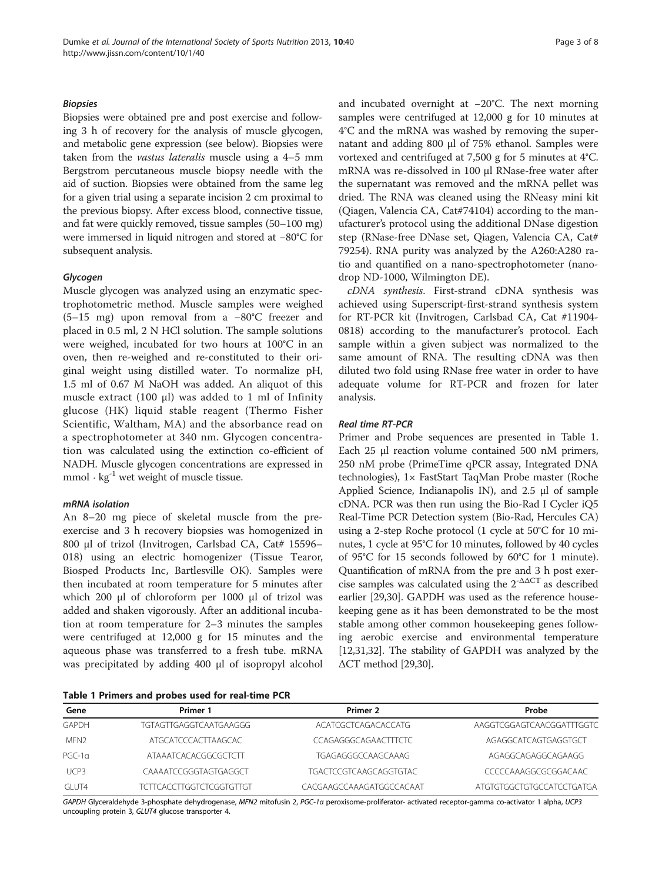## Biopsies

Biopsies were obtained pre and post exercise and following 3 h of recovery for the analysis of muscle glycogen, and metabolic gene expression (see below). Biopsies were taken from the vastus lateralis muscle using a 4–5 mm Bergstrom percutaneous muscle biopsy needle with the aid of suction. Biopsies were obtained from the same leg for a given trial using a separate incision 2 cm proximal to the previous biopsy. After excess blood, connective tissue, and fat were quickly removed, tissue samples (50–100 mg) were immersed in liquid nitrogen and stored at −80°C for subsequent analysis.

## Glycogen

Muscle glycogen was analyzed using an enzymatic spectrophotometric method. Muscle samples were weighed (5–15 mg) upon removal from a −80°C freezer and placed in 0.5 ml, 2 N HCl solution. The sample solutions were weighed, incubated for two hours at 100°C in an oven, then re-weighed and re-constituted to their original weight using distilled water. To normalize pH, 1.5 ml of 0.67 M NaOH was added. An aliquot of this muscle extract (100 μl) was added to 1 ml of Infinity glucose (HK) liquid stable reagent (Thermo Fisher Scientific, Waltham, MA) and the absorbance read on a spectrophotometer at 340 nm. Glycogen concentration was calculated using the extinction co-efficient of NADH. Muscle glycogen concentrations are expressed in mmol  $\cdot$  kg<sup>-1</sup> wet weight of muscle tissue.

#### mRNA isolation

An 8–20 mg piece of skeletal muscle from the preexercise and 3 h recovery biopsies was homogenized in 800 μl of trizol (Invitrogen, Carlsbad CA, Cat# 15596– 018) using an electric homogenizer (Tissue Tearor, Biosped Products Inc, Bartlesville OK). Samples were then incubated at room temperature for 5 minutes after which 200 μl of chloroform per 1000 μl of trizol was added and shaken vigorously. After an additional incubation at room temperature for 2–3 minutes the samples were centrifuged at 12,000 g for 15 minutes and the aqueous phase was transferred to a fresh tube. mRNA was precipitated by adding 400 μl of isopropyl alcohol

Table 1 Primers and probes used for real-time PCR

and incubated overnight at −20°C. The next morning samples were centrifuged at 12,000 g for 10 minutes at 4°C and the mRNA was washed by removing the supernatant and adding 800 μl of 75% ethanol. Samples were vortexed and centrifuged at 7,500 g for 5 minutes at 4°C. mRNA was re-dissolved in 100 μl RNase-free water after the supernatant was removed and the mRNA pellet was dried. The RNA was cleaned using the RNeasy mini kit (Qiagen, Valencia CA, Cat#74104) according to the manufacturer's protocol using the additional DNase digestion step (RNase-free DNase set, Qiagen, Valencia CA, Cat# 79254). RNA purity was analyzed by the A260:A280 ratio and quantified on a nano-spectrophotometer (nanodrop ND-1000, Wilmington DE).

cDNA synthesis. First-strand cDNA synthesis was achieved using Superscript-first-strand synthesis system for RT-PCR kit (Invitrogen, Carlsbad CA, Cat #11904- 0818) according to the manufacturer's protocol. Each sample within a given subject was normalized to the same amount of RNA. The resulting cDNA was then diluted two fold using RNase free water in order to have adequate volume for RT-PCR and frozen for later analysis.

# Real time RT-PCR

Primer and Probe sequences are presented in Table 1. Each 25 μl reaction volume contained 500 nM primers, 250 nM probe (PrimeTime qPCR assay, Integrated DNA technologies), 1× FastStart TaqMan Probe master (Roche Applied Science, Indianapolis IN), and 2.5 μl of sample cDNA. PCR was then run using the Bio-Rad I Cycler iQ5 Real-Time PCR Detection system (Bio-Rad, Hercules CA) using a 2-step Roche protocol (1 cycle at 50°C for 10 minutes, 1 cycle at 95°C for 10 minutes, followed by 40 cycles of 95°C for 15 seconds followed by 60°C for 1 minute). Quantification of mRNA from the pre and 3 h post exercise samples was calculated using the  $2^{-\Delta\Delta CT}$  as described earlier [\[29,30\]](#page-7-0). GAPDH was used as the reference housekeeping gene as it has been demonstrated to be the most stable among other common housekeeping genes following aerobic exercise and environmental temperature [[12](#page-6-0),[31,32\]](#page-7-0). The stability of GAPDH was analyzed by the ΔCT method [[29,30\]](#page-7-0).

| Gene          | Primer 1                    | Primer 2                      | Probe                     |  |
|---------------|-----------------------------|-------------------------------|---------------------------|--|
| GAPDH         | TGTAGTTGAGGTCAATGAAGGG      | ACATCGCTCAGACACCATG           | AAGGTCGGAGTCAACGGATTTGGTC |  |
| MFN2          | ATGCATCCCACTTAAGCAC         | CCAGAGGGCAGAACTTTCTC          | AGAGGCATCAGTGAGGTGCT      |  |
| $PGC-1\alpha$ | <b>ATAAATCACACGGCGCTCTT</b> | <b>TGAGAGGGCCAAGCAAAG</b>     | AGAGGCAGAGGCAGAAGG        |  |
| UCP3          | CAAAATCCGGGTAGTGAGGCT       | <b>TGACTCCGTCAAGCAGGTGTAC</b> | CCCCCAAAGGCGCGGACAAC      |  |
| GI UT4        | TCTTCACCTTGGTCTCGGTGTTGT    | CACGAAGCCAAAGATGGCCACAAT      | ATGTGTGGCTGTGCCATCCTGATGA |  |

GAPDH Glyceraldehyde 3-phosphate dehydrogenase, MFN2 mitofusin 2, PGC-1a peroxisome-proliferator- activated receptor-gamma co-activator 1 alpha, UCP3 uncoupling protein 3, GLUT4 glucose transporter 4.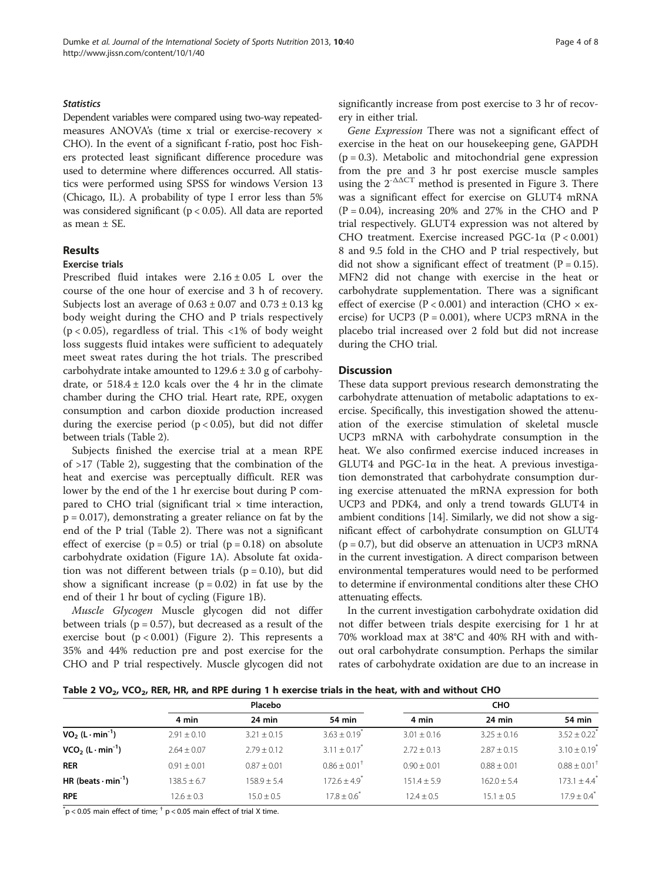# **Statistics**

Dependent variables were compared using two-way repeatedmeasures ANOVA's (time x trial or exercise-recovery × CHO). In the event of a significant f-ratio, post hoc Fishers protected least significant difference procedure was used to determine where differences occurred. All statistics were performed using SPSS for windows Version 13 (Chicago, IL). A probability of type I error less than 5% was considered significant (p < 0.05). All data are reported as mean ± SE.

# Results

## Exercise trials

Prescribed fluid intakes were  $2.16 \pm 0.05$  L over the course of the one hour of exercise and 3 h of recovery. Subjects lost an average of  $0.63 \pm 0.07$  and  $0.73 \pm 0.13$  kg body weight during the CHO and P trials respectively  $(p < 0.05)$ , regardless of trial. This  $\langle 1\%$  of body weight loss suggests fluid intakes were sufficient to adequately meet sweat rates during the hot trials. The prescribed carbohydrate intake amounted to  $129.6 \pm 3.0$  g of carbohydrate, or  $518.4 \pm 12.0$  kcals over the 4 hr in the climate chamber during the CHO trial. Heart rate, RPE, oxygen consumption and carbon dioxide production increased during the exercise period  $(p < 0.05)$ , but did not differ between trials (Table 2).

Subjects finished the exercise trial at a mean RPE of >17 (Table 2), suggesting that the combination of the heat and exercise was perceptually difficult. RER was lower by the end of the 1 hr exercise bout during P compared to CHO trial (significant trial  $\times$  time interaction, p = 0.017), demonstrating a greater reliance on fat by the end of the P trial (Table 2). There was not a significant effect of exercise  $(p = 0.5)$  or trial  $(p = 0.18)$  on absolute carbohydrate oxidation (Figure [1A](#page-4-0)). Absolute fat oxidation was not different between trials ( $p = 0.10$ ), but did show a significant increase  $(p = 0.02)$  in fat use by the end of their 1 hr bout of cycling (Figure [1](#page-4-0)B).

Muscle Glycogen Muscle glycogen did not differ between trials ( $p = 0.57$ ), but decreased as a result of the exercise bout (p < 0.001) (Figure [2](#page-4-0)). This represents a 35% and 44% reduction pre and post exercise for the CHO and P trial respectively. Muscle glycogen did not significantly increase from post exercise to 3 hr of recovery in either trial.

Gene Expression There was not a significant effect of exercise in the heat on our housekeeping gene, GAPDH  $(p = 0.3)$ . Metabolic and mitochondrial gene expression from the pre and 3 hr post exercise muscle samples using the  $2^{-\Delta\Delta CT}$  method is presented in Figure [3.](#page-5-0) There was a significant effect for exercise on GLUT4 mRNA  $(P = 0.04)$ , increasing 20% and 27% in the CHO and P trial respectively. GLUT4 expression was not altered by CHO treatment. Exercise increased PGC-1α (P < 0.001) 8 and 9.5 fold in the CHO and P trial respectively, but did not show a significant effect of treatment  $(P = 0.15)$ . MFN2 did not change with exercise in the heat or carbohydrate supplementation. There was a significant effect of exercise ( $P < 0.001$ ) and interaction (CHO  $\times$  exercise) for UCP3 ( $P = 0.001$ ), where UCP3 mRNA in the placebo trial increased over 2 fold but did not increase during the CHO trial.

## **Discussion**

These data support previous research demonstrating the carbohydrate attenuation of metabolic adaptations to exercise. Specifically, this investigation showed the attenuation of the exercise stimulation of skeletal muscle UCP3 mRNA with carbohydrate consumption in the heat. We also confirmed exercise induced increases in GLUT4 and  $PGC-1\alpha$  in the heat. A previous investigation demonstrated that carbohydrate consumption during exercise attenuated the mRNA expression for both UCP3 and PDK4, and only a trend towards GLUT4 in ambient conditions [\[14](#page-6-0)]. Similarly, we did not show a significant effect of carbohydrate consumption on GLUT4  $(p = 0.7)$ , but did observe an attenuation in UCP3 mRNA in the current investigation. A direct comparison between environmental temperatures would need to be performed to determine if environmental conditions alter these CHO attenuating effects.

In the current investigation carbohydrate oxidation did not differ between trials despite exercising for 1 hr at 70% workload max at 38°C and 40% RH with and without oral carbohydrate consumption. Perhaps the similar rates of carbohydrate oxidation are due to an increase in

Table 2 VO<sub>2</sub>, VCO<sub>2</sub>, RER, HR, and RPE during 1 h exercise trials in the heat, with and without CHO

|                                       | Placebo         |                 |                              | <b>CHO</b>     |                |                              |
|---------------------------------------|-----------------|-----------------|------------------------------|----------------|----------------|------------------------------|
|                                       | 4 min           | 24 min          | 54 min                       | 4 min          | $24$ min       | 54 min                       |
| $VO2 (L·min-1)$                       | $2.91 \pm 0.10$ | $3.21 \pm 0.15$ | $3.63 + 0.19$                | $3.01 + 0.16$  | $3.25 + 0.16$  | $3.52 + 0.22$ <sup>*</sup>   |
| $VCO2$ (L $\cdot$ min <sup>-1</sup> ) | $2.64 + 0.07$   | $2.79 + 0.12$   | $3.11 \pm 0.17$ <sup>*</sup> | $2.72 + 0.13$  | $2.87 + 0.15$  | $3.10 \pm 0.19$ <sup>*</sup> |
| <b>RER</b>                            | $0.91 + 0.01$   | $0.87 + 0.01$   | $0.86 + 0.01^+$              | $0.90 + 0.01$  | $0.88 + 0.01$  | $0.88 \pm 0.01^+$            |
| HR (beats $\cdot$ min <sup>-1</sup> ) | $138.5 + 6.7$   | $158.9 \pm 5.4$ | $172.6 + 4.9$ <sup>*</sup>   | $151.4 + 5.9$  | $162.0 + 5.4$  | $173.1 + 4.4$ <sup>*</sup>   |
| <b>RPE</b>                            | $12.6 \pm 0.3$  | $15.0 \pm 0.5$  | $17.8 \pm 0.6$               | $12.4 \pm 0.5$ | $15.1 \pm 0.5$ | $17.9 \pm 0.4$ <sup>*</sup>  |

 $p^*$ p < 0.05 main effect of time;  $p^+$  p < 0.05 main effect of trial X time.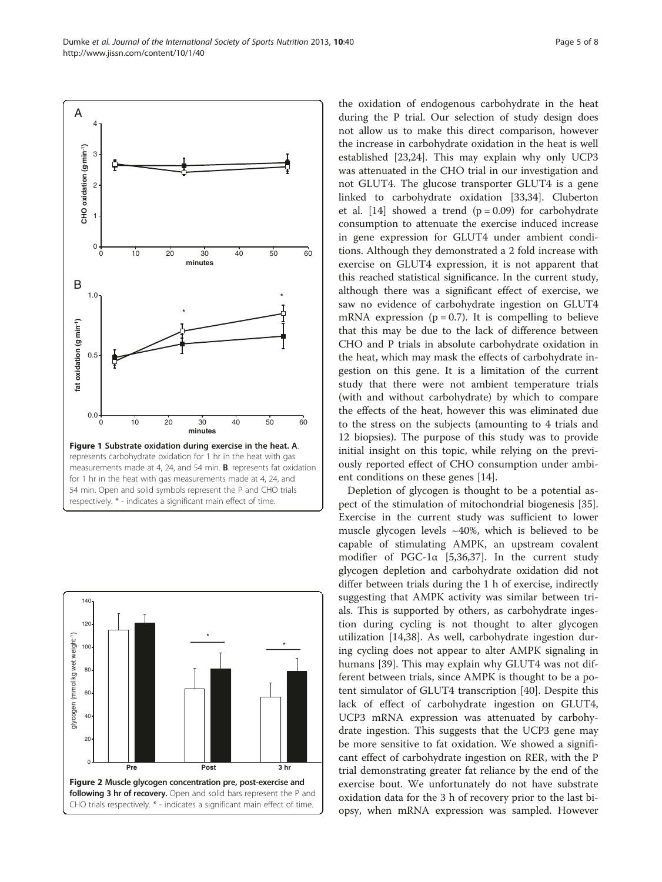<span id="page-4-0"></span>Dumke et al. Journal of the International Society of Sports Nutrition 2013, 10:40 http://www.jissn.com/content/10/1/40





the oxidation of endogenous carbohydrate in the heat during the P trial. Our selection of study design does not allow us to make this direct comparison, however the increase in carbohydrate oxidation in the heat is well established [[23,24\]](#page-7-0). This may explain why only UCP3 was attenuated in the CHO trial in our investigation and not GLUT4. The glucose transporter GLUT4 is a gene linked to carbohydrate oxidation [[33](#page-7-0),[34](#page-7-0)]. Cluberton et al. [[14\]](#page-6-0) showed a trend  $(p = 0.09)$  for carbohydrate consumption to attenuate the exercise induced increase in gene expression for GLUT4 under ambient conditions. Although they demonstrated a 2 fold increase with exercise on GLUT4 expression, it is not apparent that this reached statistical significance. In the current study, although there was a significant effect of exercise, we saw no evidence of carbohydrate ingestion on GLUT4 mRNA expression ( $p = 0.7$ ). It is compelling to believe that this may be due to the lack of difference between CHO and P trials in absolute carbohydrate oxidation in the heat, which may mask the effects of carbohydrate ingestion on this gene. It is a limitation of the current study that there were not ambient temperature trials (with and without carbohydrate) by which to compare the effects of the heat, however this was eliminated due to the stress on the subjects (amounting to 4 trials and 12 biopsies). The purpose of this study was to provide initial insight on this topic, while relying on the previously reported effect of CHO consumption under ambient conditions on these genes [[14](#page-6-0)].

Depletion of glycogen is thought to be a potential aspect of the stimulation of mitochondrial biogenesis [\[35](#page-7-0)]. Exercise in the current study was sufficient to lower muscle glycogen levels ~40%, which is believed to be capable of stimulating AMPK, an upstream covalent modifier of PGC-1 $\alpha$  [[5,](#page-6-0)[36,37\]](#page-7-0). In the current study glycogen depletion and carbohydrate oxidation did not differ between trials during the 1 h of exercise, indirectly suggesting that AMPK activity was similar between trials. This is supported by others, as carbohydrate ingestion during cycling is not thought to alter glycogen utilization [\[14](#page-6-0)[,38](#page-7-0)]. As well, carbohydrate ingestion during cycling does not appear to alter AMPK signaling in humans [\[39](#page-7-0)]. This may explain why GLUT4 was not different between trials, since AMPK is thought to be a potent simulator of GLUT4 transcription [\[40](#page-7-0)]. Despite this lack of effect of carbohydrate ingestion on GLUT4, UCP3 mRNA expression was attenuated by carbohydrate ingestion. This suggests that the UCP3 gene may be more sensitive to fat oxidation. We showed a significant effect of carbohydrate ingestion on RER, with the P trial demonstrating greater fat reliance by the end of the exercise bout. We unfortunately do not have substrate oxidation data for the 3 h of recovery prior to the last biopsy, when mRNA expression was sampled. However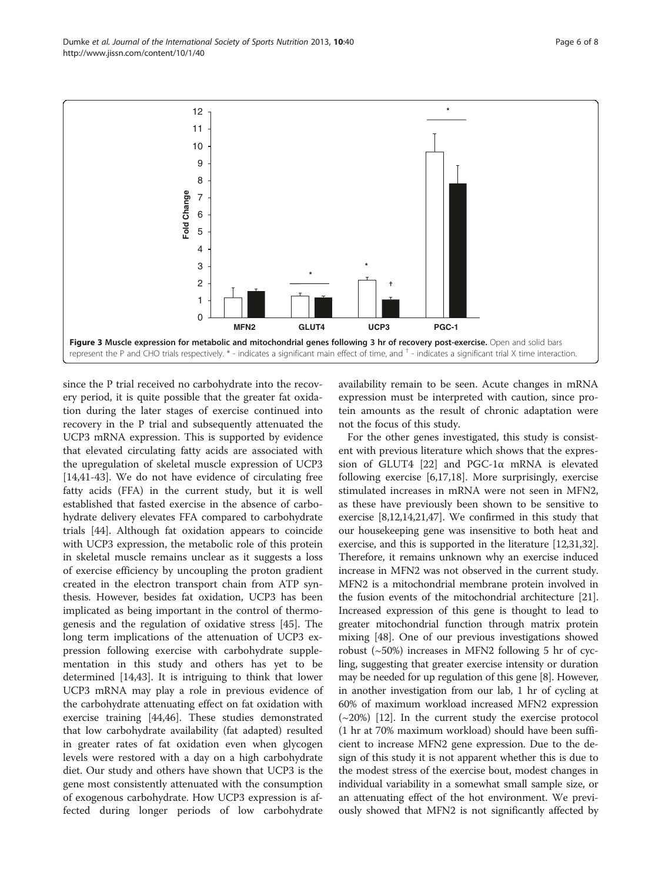since the P trial received no carbohydrate into the recovery period, it is quite possible that the greater fat oxidation during the later stages of exercise continued into recovery in the P trial and subsequently attenuated the UCP3 mRNA expression. This is supported by evidence that elevated circulating fatty acids are associated with the upregulation of skeletal muscle expression of UCP3 [[14,](#page-6-0)[41-43\]](#page-7-0). We do not have evidence of circulating free fatty acids (FFA) in the current study, but it is well established that fasted exercise in the absence of carbohydrate delivery elevates FFA compared to carbohydrate trials [[44\]](#page-7-0). Although fat oxidation appears to coincide with UCP3 expression, the metabolic role of this protein in skeletal muscle remains unclear as it suggests a loss of exercise efficiency by uncoupling the proton gradient created in the electron transport chain from ATP synthesis. However, besides fat oxidation, UCP3 has been implicated as being important in the control of thermogenesis and the regulation of oxidative stress [[45\]](#page-7-0). The long term implications of the attenuation of UCP3 expression following exercise with carbohydrate supplementation in this study and others has yet to be determined [[14,](#page-6-0)[43\]](#page-7-0). It is intriguing to think that lower UCP3 mRNA may play a role in previous evidence of the carbohydrate attenuating effect on fat oxidation with exercise training [\[44,46](#page-7-0)]. These studies demonstrated that low carbohydrate availability (fat adapted) resulted in greater rates of fat oxidation even when glycogen levels were restored with a day on a high carbohydrate diet. Our study and others have shown that UCP3 is the gene most consistently attenuated with the consumption of exogenous carbohydrate. How UCP3 expression is af-

fected during longer periods of low carbohydrate

availability remain to be seen. Acute changes in mRNA expression must be interpreted with caution, since protein amounts as the result of chronic adaptation were not the focus of this study.

For the other genes investigated, this study is consistent with previous literature which shows that the expression of GLUT4 [[22\]](#page-7-0) and PGC-1α mRNA is elevated following exercise [[6,](#page-6-0)[17,18\]](#page-7-0). More surprisingly, exercise stimulated increases in mRNA were not seen in MFN2, as these have previously been shown to be sensitive to exercise [\[8,12,14,](#page-6-0)[21,47](#page-7-0)]. We confirmed in this study that our housekeeping gene was insensitive to both heat and exercise, and this is supported in the literature [\[12](#page-6-0)[,31,32](#page-7-0)]. Therefore, it remains unknown why an exercise induced increase in MFN2 was not observed in the current study. MFN2 is a mitochondrial membrane protein involved in the fusion events of the mitochondrial architecture [[21](#page-7-0)]. Increased expression of this gene is thought to lead to greater mitochondrial function through matrix protein mixing [[48\]](#page-7-0). One of our previous investigations showed robust (~50%) increases in MFN2 following 5 hr of cycling, suggesting that greater exercise intensity or duration may be needed for up regulation of this gene [[8](#page-6-0)]. However, in another investigation from our lab, 1 hr of cycling at 60% of maximum workload increased MFN2 expression  $(\sim 20\%)$  [\[12\]](#page-6-0). In the current study the exercise protocol (1 hr at 70% maximum workload) should have been sufficient to increase MFN2 gene expression. Due to the design of this study it is not apparent whether this is due to the modest stress of the exercise bout, modest changes in individual variability in a somewhat small sample size, or an attenuating effect of the hot environment. We previously showed that MFN2 is not significantly affected by

<span id="page-5-0"></span>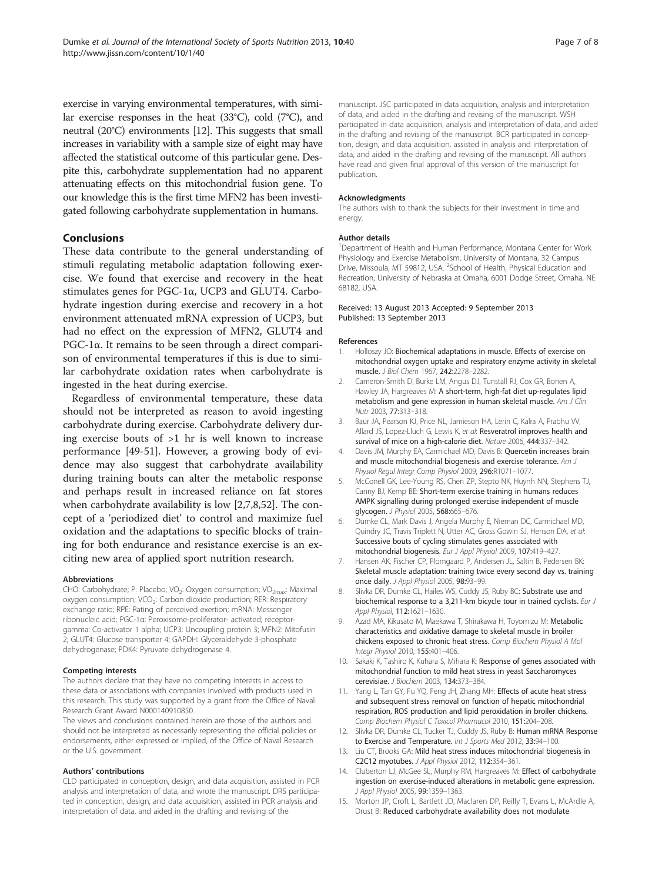<span id="page-6-0"></span>exercise in varying environmental temperatures, with similar exercise responses in the heat (33°C), cold (7°C), and neutral (20°C) environments [12]. This suggests that small increases in variability with a sample size of eight may have affected the statistical outcome of this particular gene. Despite this, carbohydrate supplementation had no apparent attenuating effects on this mitochondrial fusion gene. To our knowledge this is the first time MFN2 has been investigated following carbohydrate supplementation in humans.

# Conclusions

These data contribute to the general understanding of stimuli regulating metabolic adaptation following exercise. We found that exercise and recovery in the heat stimulates genes for PGC-1α, UCP3 and GLUT4. Carbohydrate ingestion during exercise and recovery in a hot environment attenuated mRNA expression of UCP3, but had no effect on the expression of MFN2, GLUT4 and PGC-1α. It remains to be seen through a direct comparison of environmental temperatures if this is due to similar carbohydrate oxidation rates when carbohydrate is ingested in the heat during exercise.

Regardless of environmental temperature, these data should not be interpreted as reason to avoid ingesting carbohydrate during exercise. Carbohydrate delivery during exercise bouts of >1 hr is well known to increase performance [\[49-51](#page-7-0)]. However, a growing body of evidence may also suggest that carbohydrate availability during training bouts can alter the metabolic response and perhaps result in increased reliance on fat stores when carbohydrate availability is low [2,7,8,[52\]](#page-7-0). The concept of a 'periodized diet' to control and maximize fuel oxidation and the adaptations to specific blocks of training for both endurance and resistance exercise is an exciting new area of applied sport nutrition research.

#### Abbreviations

CHO: Carbohydrate; P: Placebo; VO<sub>2</sub>: Oxygen consumption; VO<sub>2max</sub>: Maximal oxygen consumption; VCO<sub>2</sub>: Carbon dioxide production; RER: Respiratory exchange ratio; RPE: Rating of perceived exertion; mRNA: Messenger ribonucleic acid; PGC-1α: Peroxisome-proliferator- activated; receptorgamma: Co-activator 1 alpha; UCP3: Uncoupling protein 3; MFN2: Mitofusin 2; GLUT4: Glucose transporter 4; GAPDH: Glyceraldehyde 3-phosphate dehydrogenase; PDK4: Pyruvate dehydrogenase 4.

# Competing interests

The authors declare that they have no competing interests in access to these data or associations with companies involved with products used in this research. This study was supported by a grant from the Office of Naval Research Grant Award N000140910850.

The views and conclusions contained herein are those of the authors and should not be interpreted as necessarily representing the official policies or endorsements, either expressed or implied, of the Office of Naval Research or the U.S. government.

#### Authors' contributions

CLD participated in conception, design, and data acquisition, assisted in PCR analysis and interpretation of data, and wrote the manuscript. DRS participated in conception, design, and data acquisition, assisted in PCR analysis and interpretation of data, and aided in the drafting and revising of the

#### Acknowledgments

The authors wish to thank the subjects for their investment in time and energy.

#### Author details

<sup>1</sup>Department of Health and Human Performance, Montana Center for Work Physiology and Exercise Metabolism, University of Montana, 32 Campus Drive, Missoula, MT 59812, USA. <sup>2</sup>School of Health, Physical Education and Recreation, University of Nebraska at Omaha, 6001 Dodge Street, Omaha, NE 68182, USA.

#### Received: 13 August 2013 Accepted: 9 September 2013 Published: 13 September 2013

#### References

- Holloszy JO: Biochemical adaptations in muscle. Effects of exercise on mitochondrial oxygen uptake and respiratory enzyme activity in skeletal muscle. J Biol Chem 1967, 242:2278–2282.
- 2. Cameron-Smith D, Burke LM, Angus DJ, Tunstall RJ, Cox GR, Bonen A, Hawley JA, Hargreaves M: A short-term, high-fat diet up-regulates lipid metabolism and gene expression in human skeletal muscle. Am J Clin Nutr 2003, 77:313–318.
- 3. Baur JA, Pearson KJ, Price NL, Jamieson HA, Lerin C, Kalra A, Prabhu VV, Allard JS, Lopez-Lluch G, Lewis K, et al: Resveratrol improves health and survival of mice on a high-calorie diet. Nature 2006, 444:337–342.
- Davis JM, Murphy EA, Carmichael MD, Davis B: Quercetin increases brain and muscle mitochondrial biogenesis and exercise tolerance. Am J Physiol Regul Integr Comp Physiol 2009, 296:R1071–1077.
- 5. McConell GK, Lee-Young RS, Chen ZP, Stepto NK, Huynh NN, Stephens TJ, Canny BJ, Kemp BE: Short-term exercise training in humans reduces AMPK signalling during prolonged exercise independent of muscle glycogen. J Physiol 2005, 568:665–676.
- 6. Dumke CL, Mark Davis J, Angela Murphy E, Nieman DC, Carmichael MD, Quindry JC, Travis Triplett N, Utter AC, Gross Gowin SJ, Henson DA, et al: Successive bouts of cycling stimulates genes associated with mitochondrial biogenesis. Eur J Appl Physiol 2009, 107:419–427.
- 7. Hansen AK, Fischer CP, Plomgaard P, Andersen JL, Saltin B, Pedersen BK: Skeletal muscle adaptation: training twice every second day vs. training once daily. J Appl Physiol 2005, 98:93-99.
- 8. Slivka DR, Dumke CL, Hailes WS, Cuddy JS, Ruby BC: Substrate use and biochemical response to a 3,211-km bicycle tour in trained cyclists. Eur J Appl Physiol, 112:1621–1630.
- 9. Azad MA, Kikusato M, Maekawa T, Shirakawa H, Toyomizu M: Metabolic characteristics and oxidative damage to skeletal muscle in broiler chickens exposed to chronic heat stress. Comp Biochem Physiol A Mol Integr Physiol 2010, 155:401-406.
- 10. Sakaki K, Tashiro K, Kuhara S, Mihara K: Response of genes associated with mitochondrial function to mild heat stress in yeast Saccharomyces cerevisiae. J Biochem 2003, 134:373–384.
- 11. Yang L, Tan GY, Fu YQ, Feng JH, Zhang MH: Effects of acute heat stress and subsequent stress removal on function of hepatic mitochondrial respiration, ROS production and lipid peroxidation in broiler chickens. Comp Biochem Physiol C Toxicol Pharmacol 2010, 151:204–208.
- 12. Slivka DR, Dumke CL, Tucker TJ, Cuddy JS, Ruby B: Human mRNA Response to Exercise and Temperature. Int J Sports Med 2012, 33:94-100.
- 13. Liu CT, Brooks GA: Mild heat stress induces mitochondrial biogenesis in C2C12 myotubes. J Appl Physiol 2012, 112:354–361.
- 14. Cluberton LJ, McGee SL, Murphy RM, Hargreaves M: Effect of carbohydrate ingestion on exercise-induced alterations in metabolic gene expression. J Appl Physiol 2005, 99:1359-1363.
- 15. Morton JP, Croft L, Bartlett JD, Maclaren DP, Reilly T, Evans L, McArdle A, Drust B: Reduced carbohydrate availability does not modulate